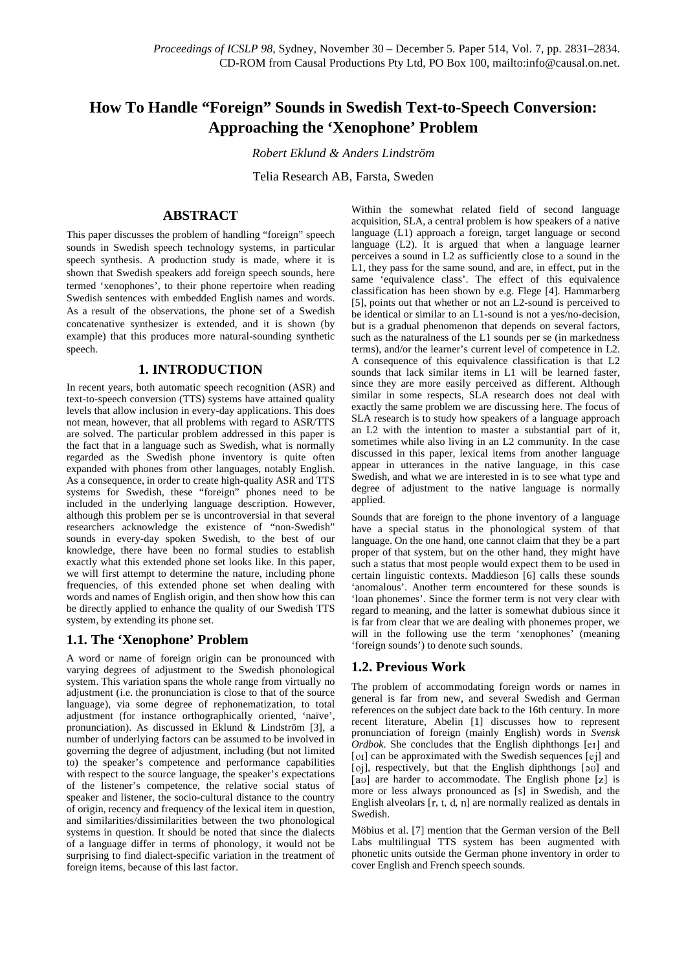# **How To Handle "Foreign" Sounds in Swedish Text-to-Speech Conversion: Approaching the 'Xenophone' Problem**

*Robert Eklund & Anders Lindström*

Telia Research AB, Farsta, Sweden

### **ABSTRACT**

This paper discusses the problem of handling "foreign" speech sounds in Swedish speech technology systems, in particular speech synthesis. A production study is made, where it is shown that Swedish speakers add foreign speech sounds, here termed 'xenophones', to their phone repertoire when reading Swedish sentences with embedded English names and words. As a result of the observations, the phone set of a Swedish concatenative synthesizer is extended, and it is shown (by example) that this produces more natural-sounding synthetic speech.

### **1. INTRODUCTION**

In recent years, both automatic speech recognition (ASR) and text-to-speech conversion (TTS) systems have attained quality levels that allow inclusion in every-day applications. This does not mean, however, that all problems with regard to ASR/TTS are solved. The particular problem addressed in this paper is the fact that in a language such as Swedish, what is normally regarded as the Swedish phone inventory is quite often expanded with phones from other languages, notably English. As a consequence, in order to create high-quality ASR and TTS systems for Swedish, these "foreign" phones need to be included in the underlying language description. However, although this problem per se is uncontroversial in that several researchers acknowledge the existence of "non-Swedish" sounds in every-day spoken Swedish, to the best of our knowledge, there have been no formal studies to establish exactly what this extended phone set looks like. In this paper, we will first attempt to determine the nature, including phone frequencies, of this extended phone set when dealing with words and names of English origin, and then show how this can be directly applied to enhance the quality of our Swedish TTS system, by extending its phone set.

### **1.1. The 'Xenophone' Problem**

A word or name of foreign origin can be pronounced with varying degrees of adjustment to the Swedish phonological system. This variation spans the whole range from virtually no adjustment (i.e. the pronunciation is close to that of the source language), via some degree of rephonematization, to total adjustment (for instance orthographically oriented, 'naïve', pronunciation). As discussed in Eklund & Lindström [3], a number of underlying factors can be assumed to be involved in governing the degree of adjustment, including (but not limited to) the speaker's competence and performance capabilities with respect to the source language, the speaker's expectations of the listener's competence, the relative social status of speaker and listener, the socio-cultural distance to the country of origin, recency and frequency of the lexical item in question, and similarities/dissimilarities between the two phonological systems in question. It should be noted that since the dialects of a language differ in terms of phonology, it would not be surprising to find dialect-specific variation in the treatment of foreign items, because of this last factor.

Within the somewhat related field of second language acquisition, SLA, a central problem is how speakers of a native language (L1) approach a foreign, target language or second language (L2). It is argued that when a language learner perceives a sound in L2 as sufficiently close to a sound in the L1, they pass for the same sound, and are, in effect, put in the same 'equivalence class'. The effect of this equivalence classification has been shown by e.g. Flege [4]. Hammarberg [5], points out that whether or not an L2-sound is perceived to be identical or similar to an L1-sound is not a yes/no-decision, but is a gradual phenomenon that depends on several factors, such as the naturalness of the L1 sounds per se (in markedness terms), and/or the learner's current level of competence in L2. A consequence of this equivalence classification is that L2 sounds that lack similar items in L1 will be learned faster, since they are more easily perceived as different. Although similar in some respects, SLA research does not deal with exactly the same problem we are discussing here. The focus of SLA research is to study how speakers of a language approach an L2 with the intention to master a substantial part of it, sometimes while also living in an L2 community. In the case discussed in this paper, lexical items from another language appear in utterances in the native language, in this case Swedish, and what we are interested in is to see what type and degree of adjustment to the native language is normally applied.

Sounds that are foreign to the phone inventory of a language have a special status in the phonological system of that language. On the one hand, one cannot claim that they be a part proper of that system, but on the other hand, they might have such a status that most people would expect them to be used in certain linguistic contexts. Maddieson [6] calls these sounds 'anomalous'. Another term encountered for these sounds is 'loan phonemes'. Since the former term is not very clear with regard to meaning, and the latter is somewhat dubious since it is far from clear that we are dealing with phonemes proper, we will in the following use the term 'xenophones' (meaning 'foreign sounds') to denote such sounds.

### **1.2. Previous Work**

The problem of accommodating foreign words or names in general is far from new, and several Swedish and German references on the subject date back to the 16th century. In more recent literature, Abelin [1] discusses how to represent pronunciation of foreign (mainly English) words in *Svensk Ordbok*. She concludes that the English diphthongs [e1] and [01] can be approximated with the Swedish sequences [ej] and [oj], respectively, but that the English diphthongs [au] and [au] are harder to accommodate. The English phone [z] is more or less always pronounced as [s] in Swedish, and the English alveolars  $[r, t, d, n]$  are normally realized as dentals in Swedish.

Möbius et al. [7] mention that the German version of the Bell Labs multilingual TTS system has been augmented with phonetic units outside the German phone inventory in order to cover English and French speech sounds.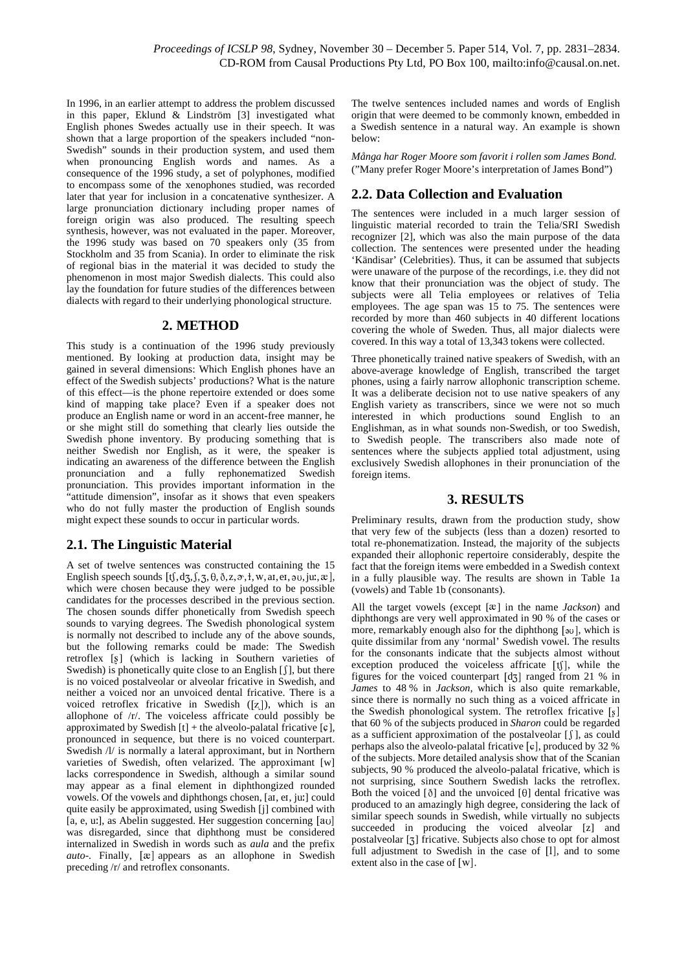In 1996, in an earlier attempt to address the problem discussed in this paper, Eklund & Lindström [3] investigated what English phones Swedes actually use in their speech. It was shown that a large proportion of the speakers included "non-Swedish" sounds in their production system, and used them when pronouncing English words and names. As a consequence of the 1996 study, a set of polyphones, modified to encompass some of the xenophones studied, was recorded later that year for inclusion in a concatenative synthesizer. A large pronunciation dictionary including proper names of foreign origin was also produced. The resulting speech synthesis, however, was not evaluated in the paper. Moreover, the 1996 study was based on 70 speakers only (35 from Stockholm and 35 from Scania). In order to eliminate the risk of regional bias in the material it was decided to study the phenomenon in most major Swedish dialects. This could also lay the foundation for future studies of the differences between dialects with regard to their underlying phonological structure.

#### **2. METHOD**

This study is a continuation of the 1996 study previously mentioned. By looking at production data, insight may be gained in several dimensions: Which English phones have an effect of the Swedish subjects' productions? What is the nature of this effect—is the phone repertoire extended or does some kind of mapping take place? Even if a speaker does not produce an English name or word in an accent-free manner, he or she might still do something that clearly lies outside the Swedish phone inventory. By producing something that is neither Swedish nor English, as it were, the speaker is indicating an awareness of the difference between the English pronunciation and a fully rephonematized Swedish pronunciation. This provides important information in the "attitude dimension", insofar as it shows that even speakers who do not fully master the production of English sounds might expect these sounds to occur in particular words.

## **2.1. The Linguistic Material**

A set of twelve sentences was constructed containing the 15 English speech sounds  $[t, d_5, f, 5, \theta, \delta, z, \vartheta, t, w, \text{at}, \text{et}, \vartheta, \text{at}, \mathcal{R}]$ , in a f which were chosen because they were judged to be possible candidates for the processes described in the previous section. The chosen sounds differ phonetically from Swedish speech sounds to varying degrees. The Swedish phonological system is normally not described to include any of the above sounds, but the following remarks could be made: The Swedish retroflex [§] (which is lacking in Southern varieties of Swedish) is phonetically quite close to an English [  $\int$  ], but there is no voiced postalveolar or alveolar fricative in Swedish, and neither a voiced nor an unvoiced dental fricative. There is a voiced retroflex fricative in Swedish  $([z])$ , which is an allophone of /r/. The voiceless affricate could possibly be approximated by Swedish  $[t]$  + the alveolo-palatal fricative  $[\mathfrak{c}]$ , pronounced in sequence, but there is no voiced counterpart. Swedish  $\Lambda$ / is normally a lateral approximant, but in Northern varieties of Swedish, often velarized. The approximant [w] lacks correspondence in Swedish, although a similar sound may appear as a final element in diphthongized rounded vowels. Of the vowels and diphthongs chosen, [aI, eI, ju:] could quite easily be approximated, using Swedish [j] combined with [a, e, u.], as Abelin suggested. Her suggestion concerning  $\begin{bmatrix} a \\ b \end{bmatrix}$ was disregarded, since that diphthong must be considered internalized in Swedish in words such as *aula* and the prefix auto-. Finally, [xe] appears as an allophone in Swedish preceding /r/ and retroflex consonants.

The twelve sentences included names and words of English origin that were deemed to be commonly known, embedded in a Swedish sentence in a natural way. An example is shown below:

*Många har Roger Moore som favorit i rollen som James Bond.* ("Many prefer Roger Moore's interpretation of James Bond")

# **2.2. Data Collection and Evaluation**

The sentences were included in a much larger session of linguistic material recorded to train the Telia/SRI Swedish recognizer [2], which was also the main purpose of the data collection. The sentences were presented under the heading 'Kändisar' (Celebrities). Thus, it can be assumed that subjects were unaware of the purpose of the recordings, i.e. they did not know that their pronunciation was the object of study. The subjects were all Telia employees or relatives of Telia employees. The age span was 15 to 75. The sentences were recorded by more than 460 subjects in 40 different locations covering the whole of Sweden. Thus, all major dialects were covered. In this way a total of 13,343 tokens were collected.

Three phonetically trained native speakers of Swedish, with an above-average knowledge of English, transcribed the target phones, using a fairly narrow allophonic transcription scheme. It was a deliberate decision not to use native speakers of any English variety as transcribers, since we were not so much interested in which productions sound English to an Englishman, as in what sounds non-Swedish, or too Swedish, to Swedish people. The transcribers also made note of sentences where the subjects applied total adjustment, using exclusively Swedish allophones in their pronunciation of the foreign items.

### **3. RESULTS**

Preliminary results, drawn from the production study, show that very few of the subjects (less than a dozen) resorted to total re-phonematization. Instead, the majority of the subjects expanded their allophonic repertoire considerably, despite the fact that the foreign items were embedded in a Swedish context in a fully plausible way. The results are shown in Table 1a (vowels) and Table 1b (consonants).

 $\mathbb{R}^3$  succeeded in producing the voiced alveolar [z] and All the target vowels (except [ $x$ ] in the name *Jackson*) and diphthongs are very well approximated in 90 % of the cases or more, remarkably enough also for the diphthong [30], which is quite dissimilar from any 'normal' Swedish vowel. The results for the consonants indicate that the subjects almost without exception produced the voiceless affricate  $[t]$ , while the figures for the voiced counterpart  $[d_3]$  ranged from 21 % in *James* to 48 % in *Jackson,* which is also quite remarkable, since there is normally no such thing as a voiced affricate in the Swedish phonological system. The retroflex fricative that 60 % of the subjects produced in *Sharon* could be regarded as a sufficient approximation of the postalveolar [ f ], as could perhaps also the alveolo-palatal fricative  $[\mathfrak{c}]$ , produced by 32 % of the subjects. More detailed analysis show that of the Scanian subjects, 90 % produced the alveolo-palatal fricative, which is not surprising, since Southern Swedish lacks the retroflex. Both the voiced  $[\delta]$  and the unvoiced  $[\theta]$  dental fricative was produced to an amazingly high degree, considering the lack of similar speech sounds in Swedish, while virtually no subjects postalveolar [3] fricative. Subjects also chose to opt for almost full adjustment to Swedish in the case of [1], and to some extent also in the case of [w].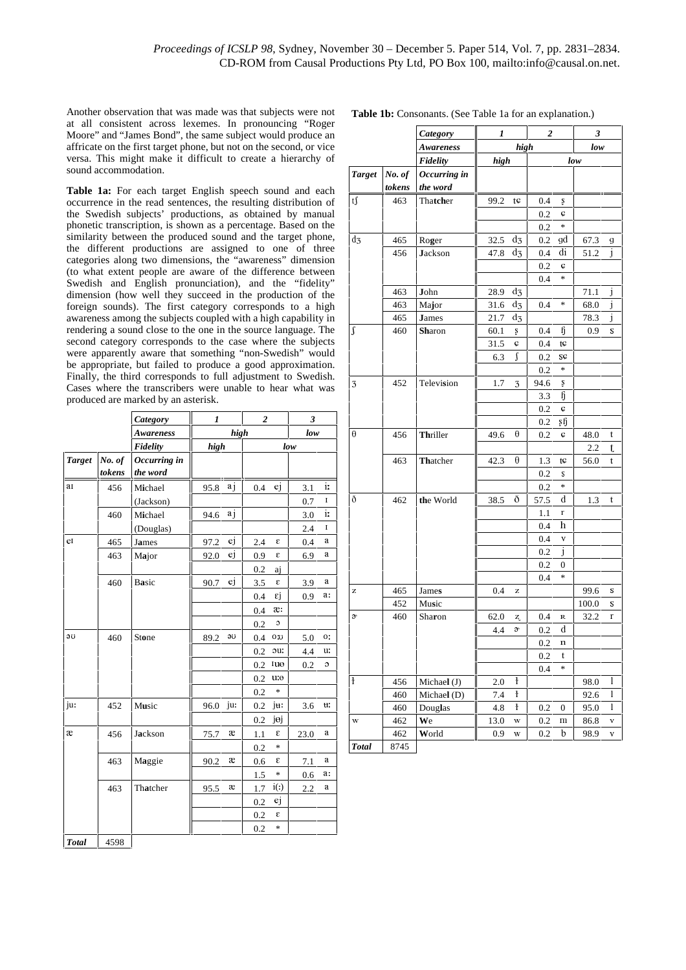Another observation that was made was that subjects were not at all consistent across lexemes. In pronouncing "Roger Moore" and "James Bond", the same subject would produce an affricate on the first target phone, but not on the second, or vice versa. This might make it difficult to create a hierarchy of sound accommodation.

Table 1a: For each target English speech sound and each occurrence in the read sentences, the resulting distribution of the Swedish subjects' productions, as obtained by manual phonetic transcription, is shown as a percentage. Based on the similarity between the produced sound and the target phone, the different productions are assigned to one of three categories along two dimensions, the "awareness" dimension (to what extent people are aware of the difference between Swedish and English pronunciation), and the "fidelity" dimension (how well they succeed in the production of the foreign sounds). The first category corresponds to a high awareness among the subjects coupled with a high capability in rendering a sound close to the one in the source language. The second category corresponds to the case where the subjects were apparently aware that something "non-Swedish" would be appropriate, but failed to produce a good approximation. Finally, the third corresponds to full adjustment to Swedish. Cases where the transcribers were unable to hear what was produced are marked by an asterisk.

|               |        | <b>Category</b>  | $\overline{2}$<br>1<br>high |     |     |                                   | 3<br>low |    |
|---------------|--------|------------------|-----------------------------|-----|-----|-----------------------------------|----------|----|
|               |        | <b>Awareness</b> |                             |     |     |                                   |          |    |
|               |        | Fidelity         | high                        |     |     | low                               |          |    |
| <b>Target</b> | No. of | Occurring in     |                             |     |     |                                   |          |    |
|               | tokens | the word         |                             |     |     |                                   |          |    |
| ar            | 456    | Michael          | 95.8                        | a j | 0.4 | ej                                | 3.1      | i: |
|               |        | (Jackson)        |                             |     |     |                                   | 0.7      | I  |
|               | 460    | Michael          | 94.6                        | a j |     |                                   | 3.0      | i: |
|               |        | (Douglas)        |                             |     |     |                                   | 2.4      | I  |
| er            | 465    | James            | 97.2                        | ej  | 2.4 | ε                                 | 0.4      | a  |
|               | 463    | Major            | 92.0                        | ej  | 0.9 | ε                                 | 6.9      | a  |
|               |        |                  |                             |     | 0.2 | aj                                |          |    |
|               | 460    | Basic            | 90.7                        | ej  | 3.5 | ε                                 | 3.9      | a  |
|               |        |                  |                             |     | 0.4 | εj                                | 0.9      | a: |
|               |        |                  |                             |     | 0.4 | æ:                                |          |    |
|               |        |                  |                             |     | 0.2 | c                                 |          |    |
| эU            | 460    | Stone            | 89.2                        | эU  | 0.4 | U.O                               | 5.0      | о: |
|               |        |                  |                             |     | 0.2 | :uc                               | 4.4      | u: |
|               |        |                  |                             |     | 0.2 | шө                                | 0.2      | C  |
|               |        |                  |                             |     | 0.2 | u:e                               |          |    |
|               |        |                  |                             |     | 0.2 | *                                 |          |    |
| ju:           | 452    | Music            | 96.0                        | ju: | 0.2 | ju:                               | 3.6      | u: |
|               |        |                  |                             |     | 0.2 | jej                               |          |    |
| æ             | 456    | Jackson          | 75.7                        | æ   | 1.1 | ε                                 | 23.0     | a  |
|               |        |                  |                             |     | 0.2 | $\frac{d\mathbf{r}}{d\mathbf{r}}$ |          |    |
|               | 463    | Maggie           | 90.2                        | æ   | 0.6 | ε                                 | 7.1      | a  |
|               |        |                  |                             |     | 1.5 | *                                 | 0.6      | a: |
|               | 463    | Thatcher         | 95.5                        | æ   | 1.7 | $i($ :)                           | 2.2      | a  |
|               |        |                  |                             |     | 0.2 | ej                                |          |    |
|               |        |                  |                             |     | 0.2 | ε                                 |          |    |
|               |        |                  |                             |     | 0.2 | *                                 |          |    |
| <b>Total</b>  | 4598   |                  |                             |     |     |                                   |          |    |

| <b>Table 1b:</b> Consonants. (See Table 1a for an explanation.) |  |  |  |
|-----------------------------------------------------------------|--|--|--|
|-----------------------------------------------------------------|--|--|--|

|                |        | <b>Category</b> | 1<br>high   |             | $\overline{2}$ |             | 3<br>low     |   |
|----------------|--------|-----------------|-------------|-------------|----------------|-------------|--------------|---|
|                |        | Awareness       |             |             |                |             |              |   |
|                |        | Fidelity        | high        |             |                | low         |              |   |
| <b>Target</b>  | No. of | Occurring in    |             |             |                |             |              |   |
|                | tokens | the word        |             |             |                |             |              |   |
| $t$ f          | 463    | Thatcher        | 99.2        | tç          | 0.4            | ş           |              |   |
|                |        |                 |             |             | 0.2            | ¢           |              |   |
|                |        |                 |             |             | 0.2            | ×           |              |   |
| d <sub>3</sub> | 465    | Roger           | 32.5        | d3          | 0.2            | gd          | 67.3         | g |
|                | 456    | <b>Jackson</b>  | 47.8        | d3          | 0.4            | di          | 51.2         | j |
|                |        |                 |             |             | 0.2            | ¢           |              |   |
|                |        |                 |             |             | 0.4            | $\ast$      |              |   |
|                | 463    | John            | 28.9        | d3          |                |             | 71.1         | J |
|                | 463    | Major           | 31.6        | d3          | 0.4            | $\ast$      | 68.0         | j |
|                | 465    | <b>J</b> ames   | 21.7        | d3          |                |             | 78.3         | J |
| ſ              | 460    | <b>Sharon</b>   | 60.1        | Ş           | 0.4            | ij          | 0.9          | s |
|                |        |                 | 31.5        | Ç           | 0.4            | tc          |              |   |
|                |        |                 | 6.3         | ſ           | 0.2            | SÇ          |              |   |
|                |        |                 |             |             | 0.2            | $\ast$      |              |   |
| 3              | 452    | Television      | 1.7         | 3           | 94.6           | ş           |              |   |
|                |        |                 |             |             | 3.3            | ij          |              |   |
|                |        |                 |             |             | 0.2            | ¢           |              |   |
|                |        |                 |             |             | 0.2            | şĥ          |              |   |
| θ              | 456    | Thriller        | 49.6        | θ           | 0.2            | ¢           | 48.0         | t |
|                |        |                 |             |             |                |             | 2.2          | t |
|                | 463    | Thatcher        | 42.3        | θ           | 1.3            | tç          | 56.0         | t |
|                |        |                 |             |             | 0.2            | S           |              |   |
|                |        |                 |             |             | 0.2            | $\ast$      |              |   |
| ð              | 462    | the World       | 38.5        | ð           | 57.5           | d           | 1.3          | t |
|                |        |                 |             |             | 1.1            | r           |              |   |
|                |        |                 |             |             | 0.4            | h           |              |   |
|                |        |                 |             |             | 0.4            | V           |              |   |
|                |        |                 |             |             | 0.2            | i           |              |   |
|                |        |                 |             |             | 0.2            | 0           |              |   |
|                |        |                 |             |             | 0.4            | $\ast$      |              |   |
| z              | 465    | James           | 0.4         | z           |                |             | 99.6         | s |
|                | 452    | Music           |             |             |                |             | 100.0        | s |
| s,             | 460    | Sharon          | 62.0        | Z,          | 0.4            | R<br>d      | 32.2         | r |
|                |        |                 | 4.4         | s,          | 0.2            |             |              |   |
|                |        |                 |             |             | $_{0.2}$       | n           |              |   |
|                |        |                 |             |             | 0.2<br>0.4     | t<br>$\ast$ |              |   |
| ł              | 456    | Michael (J)     | 2.0         | $\mathbf i$ |                |             | 98.0         | 1 |
|                | 460    | Michael (D)     | 7.4         | ł           |                |             | 92.6         | 1 |
|                | 460    |                 |             | ł           |                | 0           |              | 1 |
| W              | 462    | Douglas<br>We   | 4.8<br>13.0 | W           | 0.2            | m           | 95.0<br>86.8 | V |
|                | 462    | World           | 0.9         | W           | 0.2<br>0.2     | b           | 98.9         | V |
| <b>Total</b>   | 8745   |                 |             |             |                |             |              |   |